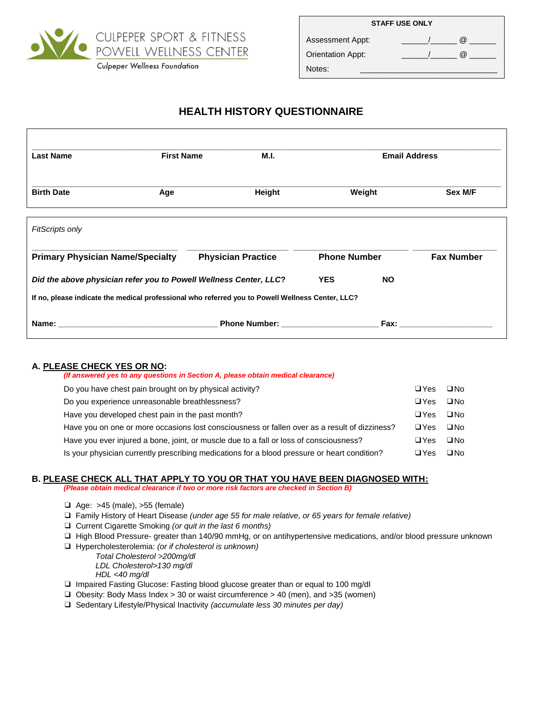

**Culpeper Wellness Foundation** 

| <b>STAFF USE ONLY</b>    |  |            |  |
|--------------------------|--|------------|--|
| Assessment Appt:         |  | $(\alpha)$ |  |
| <b>Orientation Appt:</b> |  | $\omega$   |  |
| Notes:                   |  |            |  |

# **HEALTH HISTORY QUESTIONNAIRE**

| <b>Last Name</b>                        | <b>First Name</b> | M.I.                                                                                                                                                                                                                                |                     | <b>Email Address</b> |                   |
|-----------------------------------------|-------------------|-------------------------------------------------------------------------------------------------------------------------------------------------------------------------------------------------------------------------------------|---------------------|----------------------|-------------------|
| <b>Birth Date</b>                       | Age               | Height                                                                                                                                                                                                                              |                     | Weight               | Sex M/F           |
| <b>FitScripts only</b>                  |                   |                                                                                                                                                                                                                                     |                     |                      |                   |
| <b>Primary Physician Name/Specialty</b> |                   | <b>Physician Practice</b>                                                                                                                                                                                                           | <b>Phone Number</b> |                      | <b>Fax Number</b> |
|                                         |                   | Did the above physician refer you to Powell Wellness Center, LLC?                                                                                                                                                                   | <b>YES</b>          | <b>NO</b>            |                   |
|                                         |                   | If no, please indicate the medical professional who referred you to Powell Wellness Center, LLC?                                                                                                                                    |                     |                      |                   |
|                                         |                   | <b>Phone Number:</b> The control of the control of the control of the control of the control of the control of the control of the control of the control of the control of the control of the control of the control of the control |                     | Fax:                 |                   |

## **A. PLEASE CHECK YES OR NO:**

| (If answered yes to any questions in Section A, please obtain medical clearance)              |            |              |
|-----------------------------------------------------------------------------------------------|------------|--------------|
| Do you have chest pain brought on by physical activity?                                       | $\Box$ Yes | $\square$ No |
| Do you experience unreasonable breathlessness?                                                | $\Box$ Yes | $\square$ No |
| Have you developed chest pain in the past month?                                              | $\Box$ Yes | $\square$ No |
| Have you on one or more occasions lost consciousness or fallen over as a result of dizziness? | $\Box$ Yes | $\square$ No |
| Have you ever injured a bone, joint, or muscle due to a fall or loss of consciousness?        | $\Box$ Yes | $\square$ No |
| Is your physician currently prescribing medications for a blood pressure or heart condition?  | $\Box$ Yes | $\square$ No |

## **B. PLEASE CHECK ALL THAT APPLY TO YOU OR THAT YOU HAVE BEEN DIAGNOSED WITH:**

*(Please obtain medical clearance if two or more risk factors are checked in Section B)*

- ❑ Age: >45 (male), >55 (female)
- ❑ Family History of Heart Disease *(under age 55 for male relative, or 65 years for female relative)*
- ❑ Current Cigarette Smoking *(or quit in the last 6 months)*
- ❑ High Blood Pressure- greater than 140/90 mmHg, or on antihypertensive medications, and/or blood pressure unknown
- ❑ Hypercholesterolemia: *(or if cholesterol is unknown)*

*Total Cholesterol >200mg/dl LDL Cholesterol>130 mg/dl HDL <40 mg/dl*

- ❑ Impaired Fasting Glucose: Fasting blood glucose greater than or equal to 100 mg/dl
- ❑ Obesity: Body Mass Index > 30 or waist circumference > 40 (men), and >35 (women)
- ❑ Sedentary Lifestyle/Physical Inactivity *(accumulate less 30 minutes per day)*